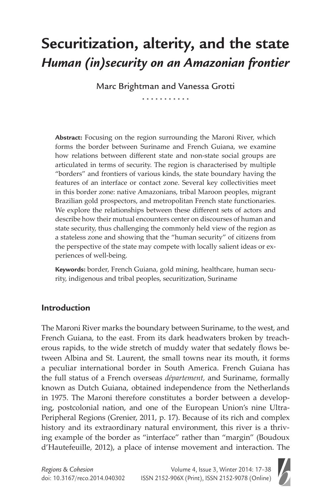# **Securitization, alterity, and the state** *Human (in)security on an Amazonian frontier*

Marc Brightman and Vanessa Grotti

**Abstract:** Focusing on the region surrounding the Maroni River, which forms the border between Suriname and French Guiana, we examine how relations between diferent state and non-state social groups are articulated in terms of security. The region is characterised by multiple "borders" and frontiers of various kinds, the state boundary having the features of an interface or contact zone. Several key collectivities meet in this border zone: native Amazonians, tribal Maroon peoples, migrant Brazilian gold prospectors, and metropolitan French state functionaries. We explore the relationships between these diferent sets of actors and describe how their mutual encounters center on discourses of human and state security, thus challenging the commonly held view of the region as a stateless zone and showing that the "human security" of citizens from the perspective of the state may compete with locally salient ideas or experiences of well-being.

**Keywords:** border, French Guiana, gold mining, healthcare, human security, indigenous and tribal peoples, securitization, Suriname

# **Introduction**

The Maroni River marks the boundary between Suriname, to the west, and French Guiana, to the east. From its dark headwaters broken by treacherous rapids, to the wide stretch of muddy water that sedately flows between Albina and St. Laurent, the small towns near its mouth, it forms a peculiar international border in South America. French Guiana has the full status of a French overseas *département,* and Suriname, formally known as Dutch Guiana, obtained independence from the Netherlands in 1975. The Maroni therefore constitutes a border between a developing, postcolonial nation, and one of the European Union's nine Ultra-Peripheral Regions (Grenier, 2011, p. 17). Because of its rich and complex history and its extraordinary natural environment, this river is a thriving example of the border as "interface" rather than "margin" (Boudoux d'Hautefeuille, 2012), a place of intense movement and interaction. The

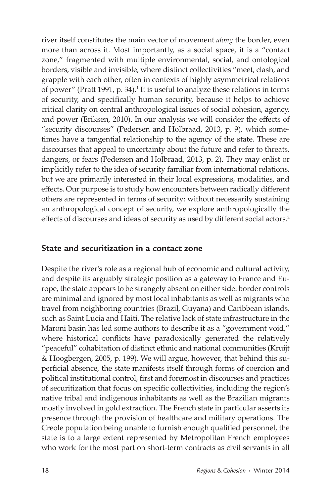river itself constitutes the main vector of movement *along* the border, even more than across it. Most importantly, as a social space, it is a "contact zone," fragmented with multiple environmental, social, and ontological borders, visible and invisible, where distinct collectivities "meet, clash, and grapple with each other, often in contexts of highly asymmetrical relations of power" (Pratt 1991, p. 34).<sup>1</sup> It is useful to analyze these relations in terms of security, and specifcally human security, because it helps to achieve critical clarity on central anthropological issues of social cohesion, agency, and power (Eriksen, 2010). In our analysis we will consider the efects of "security discourses" (Pedersen and Holbraad, 2013, p. 9), which sometimes have a tangential relationship to the agency of the state. These are discourses that appeal to uncertainty about the future and refer to threats, dangers, or fears (Pedersen and Holbraad, 2013, p. 2). They may enlist or implicitly refer to the idea of security familiar from international relations, but we are primarily interested in their local expressions, modalities, and efects. Our purpose is to study how encounters between radically diferent others are represented in terms of security: without necessarily sustaining an anthropological concept of security, we explore anthropologically the effects of discourses and ideas of security as used by different social actors.<sup>2</sup>

# **State and securitization in a contact zone**

Despite the river's role as a regional hub of economic and cultural activity, and despite its arguably strategic position as a gateway to France and Europe, the state appears to be strangely absent on either side: border controls are minimal and ignored by most local inhabitants as well as migrants who travel from neighboring countries (Brazil, Guyana) and Caribbean islands, such as Saint Lucia and Haiti. The relative lack of state infrastructure in the Maroni basin has led some authors to describe it as a "government void," where historical conficts have paradoxically generated the relatively "peaceful" cohabitation of distinct ethnic and national communities (Kruit & Hoogbergen, 2005, p. 199). We will argue, however, that behind this superficial absence, the state manifests itself through forms of coercion and political institutional control, frst and foremost in discourses and practices of securitization that focus on specifc collectivities, including the region's native tribal and indigenous inhabitants as well as the Brazilian migrants mostly involved in gold extraction. The French state in particular asserts its presence through the provision of healthcare and military operations. The Creole population being unable to furnish enough qualifed personnel, the state is to a large extent represented by Metropolitan French employees who work for the most part on short-term contracts as civil servants in all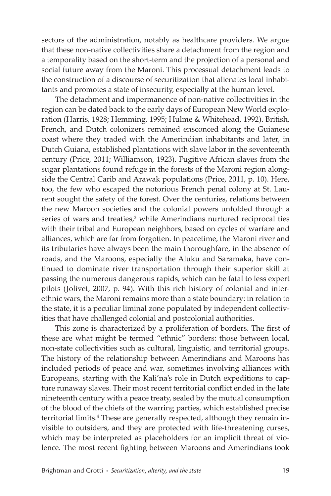sectors of the administration, notably as healthcare providers. We argue that these non-native collectivities share a detachment from the region and a temporality based on the short-term and the projection of a personal and social future away from the Maroni. This processual detachment leads to the construction of a discourse of securitization that alienates local inhabitants and promotes a state of insecurity, especially at the human level.

The detachment and impermanence of non-native collectivities in the region can be dated back to the early days of European New World exploration (Harris, 1928; Hemming, 1995; Hulme & Whitehead, 1992). British, French, and Dutch colonizers remained ensconced along the Guianese coast where they traded with the Amerindian inhabitants and later, in Dutch Guiana, established plantations with slave labor in the seventeenth century (Price, 2011; Williamson, 1923). Fugitive African slaves from the sugar plantations found refuge in the forests of the Maroni region alongside the Central Carib and Arawak populations (Price, 2011, p. 10). Here, too, the few who escaped the notorious French penal colony at St. Laurent sought the safety of the forest. Over the centuries, relations between the new Maroon societies and the colonial powers unfolded through a series of wars and treaties, $3$  while Amerindians nurtured reciprocal ties with their tribal and European neighbors, based on cycles of warfare and alliances, which are far from forgoten. In peacetime, the Maroni river and its tributaries have always been the main thoroughfare, in the absence of roads, and the Maroons, especially the Aluku and Saramaka, have continued to dominate river transportation through their superior skill at passing the numerous dangerous rapids, which can be fatal to less expert pilots (Jolivet, 2007, p. 94). With this rich history of colonial and interethnic wars, the Maroni remains more than a state boundary: in relation to the state, it is a peculiar liminal zone populated by independent collectivities that have challenged colonial and postcolonial authorities.

This zone is characterized by a proliferation of borders. The frst of these are what might be termed "ethnic" borders: those between local, non-state collectivities such as cultural, linguistic, and territorial groups. The history of the relationship between Amerindians and Maroons has included periods of peace and war, sometimes involving alliances with Europeans, starting with the Kali'na's role in Dutch expeditions to capture runaway slaves. Their most recent territorial confict ended in the late nineteenth century with a peace treaty, sealed by the mutual consumption of the blood of the chiefs of the warring parties, which established precise territorial limits.<sup>4</sup> These are generally respected, although they remain invisible to outsiders, and they are protected with life-threatening curses, which may be interpreted as placeholders for an implicit threat of violence. The most recent fghting between Maroons and Amerindians took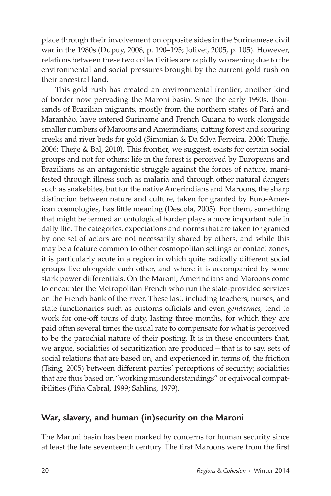place through their involvement on opposite sides in the Surinamese civil war in the 1980s (Dupuy, 2008, p. 190–195; Jolivet, 2005, p. 105). However, relations between these two collectivities are rapidly worsening due to the environmental and social pressures brought by the current gold rush on their ancestral land.

This gold rush has created an environmental frontier, another kind of border now pervading the Maroni basin. Since the early 1990s, thousands of Brazilian migrants, mostly from the northern states of Pará and Maranhão, have entered Suriname and French Guiana to work alongside smaller numbers of Maroons and Amerindians, cuting forest and scouring creeks and river beds for gold (Simonian & Da Silva Ferreira, 2006; Theie, 2006; Theie & Bal, 2010). This frontier, we suggest, exists for certain social groups and not for others: life in the forest is perceived by Europeans and Brazilians as an antagonistic struggle against the forces of nature, manifested through illness such as malaria and through other natural dangers such as snakebites, but for the native Amerindians and Maroons, the sharp distinction between nature and culture, taken for granted by Euro-American cosmologies, has litle meaning (Descola, 2005). For them, something that might be termed an ontological border plays a more important role in daily life. The categories, expectations and norms that are taken for granted by one set of actors are not necessarily shared by others, and while this may be a feature common to other cosmopolitan setings or contact zones, it is particularly acute in a region in which quite radically diferent social groups live alongside each other, and where it is accompanied by some stark power diferentials. On the Maroni, Amerindians and Maroons come to encounter the Metropolitan French who run the state-provided services on the French bank of the river. These last, including teachers, nurses, and state functionaries such as customs officials and even *gendarmes*, tend to work for one-off tours of duty, lasting three months, for which they are paid often several times the usual rate to compensate for what is perceived to be the parochial nature of their posting. It is in these encounters that, we argue, socialities of securitization are produced—that is to say, sets of social relations that are based on, and experienced in terms of, the friction (Tsing, 2005) between diferent parties' perceptions of security; socialities that are thus based on "working misunderstandings" or equivocal compatibilities (Piña Cabral, 1999; Sahlins, 1979).

## **War, slavery, and human (in)security on the Maroni**

The Maroni basin has been marked by concerns for human security since at least the late seventeenth century. The frst Maroons were from the frst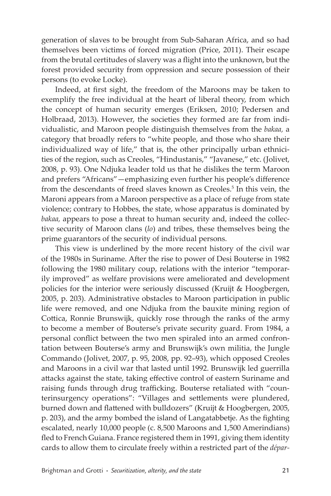generation of slaves to be brought from Sub-Saharan Africa, and so had themselves been victims of forced migration (Price, 2011). Their escape from the brutal certitudes of slavery was a fight into the unknown, but the forest provided security from oppression and secure possession of their persons (to evoke Locke).

Indeed, at frst sight, the freedom of the Maroons may be taken to exemplify the free individual at the heart of liberal theory, from which the concept of human security emerges (Eriksen, 2010; Pedersen and Holbraad, 2013). However, the societies they formed are far from individualistic, and Maroon people distinguish themselves from the *bakaa,* a category that broadly refers to "white people, and those who share their individualized way of life," that is, the other principally urban ethnicities of the region, such as Creoles, "Hindustanis," "Javanese," etc. (Jolivet, 2008, p. 93). One Ndjuka leader told us that he dislikes the term Maroon and prefers "Africans"—emphasizing even further his people's diference from the descendants of freed slaves known as Creoles.<sup>5</sup> In this vein, the Maroni appears from a Maroon perspective as a place of refuge from state violence; contrary to Hobbes, the state, whose apparatus is dominated by *bakaa,* appears to pose a threat to human security and, indeed the collective security of Maroon clans (*lo*) and tribes, these themselves being the prime guarantors of the security of individual persons.

This view is underlined by the more recent history of the civil war of the 1980s in Suriname. Afer the rise to power of Desi Bouterse in 1982 following the 1980 military coup, relations with the interior "temporarily improved" as welfare provisions were ameliorated and development policies for the interior were seriously discussed (Kruit & Hoogbergen, 2005, p. 203). Administrative obstacles to Maroon participation in public life were removed, and one Ndjuka from the bauxite mining region of Cotica, Ronnie Brunswik, quickly rose through the ranks of the army to become a member of Bouterse's private security guard. From 1984, a personal confict between the two men spiraled into an armed confrontation between Bouterse's army and Brunswik's own militia, the Jungle Commando (Jolivet, 2007, p. 95, 2008, pp. 92–93), which opposed Creoles and Maroons in a civil war that lasted until 1992. Brunswik led guerrilla atacks against the state, taking efective control of eastern Suriname and raising funds through drug trafficking. Bouterse retaliated with "counterinsurgency operations": "Villages and setlements were plundered, burned down and flattened with bulldozers" (Kruijt & Hoogbergen, 2005, p. 203), and the army bombed the island of Langatabbetje. As the fghting escalated, nearly 10,000 people (c. 8,500 Maroons and 1,500 Amerindians) fed to French Guiana. France registered them in 1991, giving them identity cards to allow them to circulate freely within a restricted part of the *dépar-*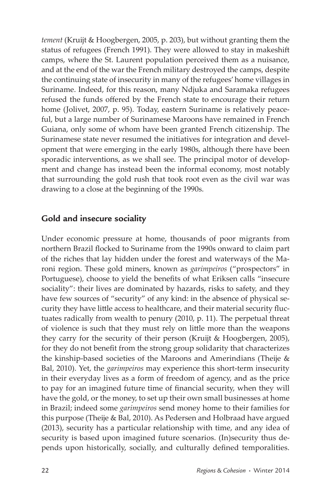*tement* (Kruit & Hoogbergen, 2005, p. 203), but without granting them the status of refugees (French 1991). They were allowed to stay in makeshif camps, where the St. Laurent population perceived them as a nuisance, and at the end of the war the French military destroyed the camps, despite the continuing state of insecurity in many of the refugees' home villages in Suriname. Indeed, for this reason, many Ndjuka and Saramaka refugees refused the funds offered by the French state to encourage their return home (Jolivet, 2007, p. 95). Today, eastern Suriname is relatively peaceful, but a large number of Surinamese Maroons have remained in French Guiana, only some of whom have been granted French citizenship. The Surinamese state never resumed the initiatives for integration and development that were emerging in the early 1980s, although there have been sporadic interventions, as we shall see. The principal motor of development and change has instead been the informal economy, most notably that surrounding the gold rush that took root even as the civil war was drawing to a close at the beginning of the 1990s.

# **Gold and insecure sociality**

Under economic pressure at home, thousands of poor migrants from northern Brazil focked to Suriname from the 1990s onward to claim part of the riches that lay hidden under the forest and waterways of the Maroni region. These gold miners, known as *garimpeiros* ("prospectors" in Portuguese), choose to yield the benefits of what Eriksen calls "insecure sociality": their lives are dominated by hazards, risks to safety, and they have few sources of "security" of any kind: in the absence of physical security they have litle access to healthcare, and their material security fuctuates radically from wealth to penury (2010, p. 11). The perpetual threat of violence is such that they must rely on litle more than the weapons they carry for the security of their person (Kruijt & Hoogbergen, 2005), for they do not benefit from the strong group solidarity that characterizes the kinship-based societies of the Maroons and Amerindians (Theije  $\&$ Bal, 2010). Yet, the *garimpeiros* may experience this short-term insecurity in their everyday lives as a form of freedom of agency, and as the price to pay for an imagined future time of fnancial security, when they will have the gold, or the money, to set up their own small businesses at home in Brazil; indeed some *garimpeiros* send money home to their families for this purpose (Theije & Bal, 2010). As Pedersen and Holbraad have argued (2013), security has a particular relationship with time, and any idea of security is based upon imagined future scenarios. (In)security thus depends upon historically, socially, and culturally defned temporalities.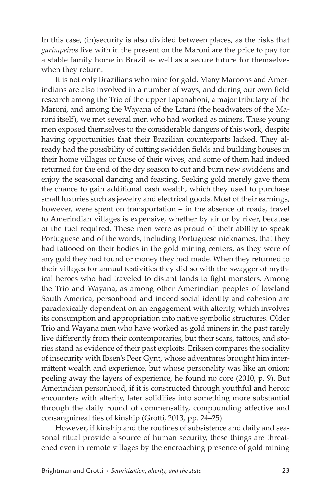In this case, (in)security is also divided between places, as the risks that *garimpeiros* live with in the present on the Maroni are the price to pay for a stable family home in Brazil as well as a secure future for themselves when they return.

It is not only Brazilians who mine for gold. Many Maroons and Amerindians are also involved in a number of ways, and during our own feld research among the Trio of the upper Tapanahoni, a major tributary of the Maroni, and among the Wayana of the Litani (the headwaters of the Maroni itself), we met several men who had worked as miners. These young men exposed themselves to the considerable dangers of this work, despite having opportunities that their Brazilian counterparts lacked. They already had the possibility of cuting swidden felds and building houses in their home villages or those of their wives, and some of them had indeed returned for the end of the dry season to cut and burn new swiddens and enjoy the seasonal dancing and feasting. Seeking gold merely gave them the chance to gain additional cash wealth, which they used to purchase small luxuries such as jewelry and electrical goods. Most of their earnings, however, were spent on transportation – in the absence of roads, travel to Amerindian villages is expensive, whether by air or by river, because of the fuel required. These men were as proud of their ability to speak Portuguese and of the words, including Portuguese nicknames, that they had tatooed on their bodies in the gold mining centers, as they were of any gold they had found or money they had made. When they returned to their villages for annual festivities they did so with the swagger of mythical heroes who had traveled to distant lands to fight monsters. Among the Trio and Wayana, as among other Amerindian peoples of lowland South America, personhood and indeed social identity and cohesion are paradoxically dependent on an engagement with alterity, which involves its consumption and appropriation into native symbolic structures. Older Trio and Wayana men who have worked as gold miners in the past rarely live differently from their contemporaries, but their scars, tattoos, and stories stand as evidence of their past exploits. Eriksen compares the sociality of insecurity with Ibsen's Peer Gynt, whose adventures brought him intermitent wealth and experience, but whose personality was like an onion: peeling away the layers of experience, he found no core (2010, p. 9). But Amerindian personhood, if it is constructed through youthful and heroic encounters with alterity, later solidifes into something more substantial through the daily round of commensality, compounding afective and consanguineal ties of kinship (Groti, 2013, pp. 24–25).

However, if kinship and the routines of subsistence and daily and seasonal ritual provide a source of human security, these things are threatened even in remote villages by the encroaching presence of gold mining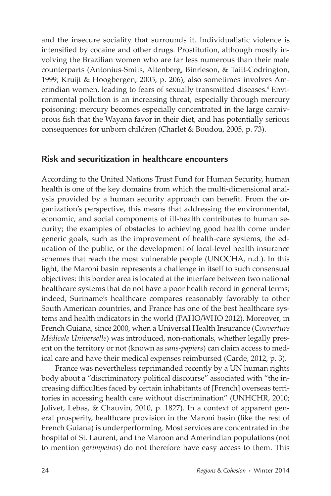and the insecure sociality that surrounds it. Individualistic violence is intensifed by cocaine and other drugs. Prostitution, although mostly involving the Brazilian women who are far less numerous than their male counterparts (Antonius-Smits, Altenberg, Binrleson, & Tait-Codrington, 1999; Kruit & Hoogbergen, 2005, p. 206), also sometimes involves Amerindian women, leading to fears of sexually transmitted diseases.<sup>6</sup> Environmental pollution is an increasing threat, especially through mercury poisoning: mercury becomes especially concentrated in the large carnivorous fsh that the Wayana favor in their diet, and has potentially serious consequences for unborn children (Charlet & Boudou, 2005, p. 73).

#### **Risk and securitization in healthcare encounters**

According to the United Nations Trust Fund for Human Security, human health is one of the key domains from which the multi-dimensional analysis provided by a human security approach can beneft. From the organization's perspective, this means that addressing the environmental, economic, and social components of ill-health contributes to human security; the examples of obstacles to achieving good health come under generic goals, such as the improvement of health-care systems, the education of the public, or the development of local-level health insurance schemes that reach the most vulnerable people (UNOCHA, n.d.). In this light, the Maroni basin represents a challenge in itself to such consensual objectives: this border area is located at the interface between two national healthcare systems that do not have a poor health record in general terms; indeed, Suriname's healthcare compares reasonably favorably to other South American countries, and France has one of the best healthcare systems and health indicators in the world (PAHO/WHO 2012). Moreover, in French Guiana, since 2000, when a Universal Health Insurance (*Couverture Médicale Universelle*) was introduced, non-nationals, whether legally present on the territory or not (known as *sans-papiers*) can claim access to medical care and have their medical expenses reimbursed (Carde, 2012, p. 3).

France was nevertheless reprimanded recently by a UN human rights body about a "discriminatory political discourse" associated with "the increasing difficulties faced by certain inhabitants of [French] overseas territories in accessing health care without discrimination" (UNHCHR, 2010; Jolivet, Lebas, & Chauvin, 2010, p. 1827). In a context of apparent general prosperity, healthcare provision in the Maroni basin (like the rest of French Guiana) is underperforming. Most services are concentrated in the hospital of St. Laurent, and the Maroon and Amerindian populations (not to mention *garimpeiros*) do not therefore have easy access to them. This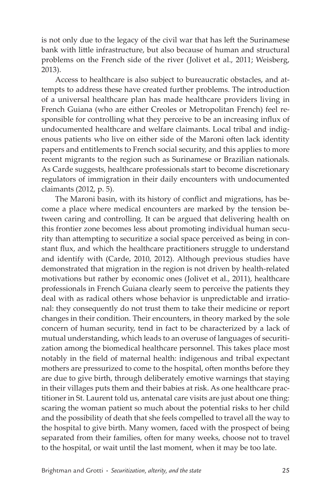is not only due to the legacy of the civil war that has left the Surinamese bank with litle infrastructure, but also because of human and structural problems on the French side of the river (Jolivet et al., 2011; Weisberg, 2013).

Access to healthcare is also subject to bureaucratic obstacles, and attempts to address these have created further problems. The introduction of a universal healthcare plan has made healthcare providers living in French Guiana (who are either Creoles or Metropolitan French) feel responsible for controlling what they perceive to be an increasing infux of undocumented healthcare and welfare claimants. Local tribal and indigenous patients who live on either side of the Maroni often lack identity papers and entitlements to French social security, and this applies to more recent migrants to the region such as Surinamese or Brazilian nationals. As Carde suggests, healthcare professionals start to become discretionary regulators of immigration in their daily encounters with undocumented claimants (2012, p. 5).

The Maroni basin, with its history of confict and migrations, has become a place where medical encounters are marked by the tension between caring and controlling. It can be argued that delivering health on this frontier zone becomes less about promoting individual human security than atempting to securitize a social space perceived as being in constant fux, and which the healthcare practitioners struggle to understand and identify with (Carde, 2010, 2012). Although previous studies have demonstrated that migration in the region is not driven by health-related motivations but rather by economic ones (Jolivet et al., 2011), healthcare professionals in French Guiana clearly seem to perceive the patients they deal with as radical others whose behavior is unpredictable and irrational: they consequently do not trust them to take their medicine or report changes in their condition. Their encounters, in theory marked by the sole concern of human security, tend in fact to be characterized by a lack of mutual understanding, which leads to an overuse of languages of securitization among the biomedical healthcare personnel. This takes place most notably in the feld of maternal health: indigenous and tribal expectant mothers are pressurized to come to the hospital, often months before they are due to give birth, through deliberately emotive warnings that staying in their villages puts them and their babies at risk. As one healthcare practitioner in St. Laurent told us, antenatal care visits are just about one thing: scaring the woman patient so much about the potential risks to her child and the possibility of death that she feels compelled to travel all the way to the hospital to give birth. Many women, faced with the prospect of being separated from their families, often for many weeks, choose not to travel to the hospital, or wait until the last moment, when it may be too late.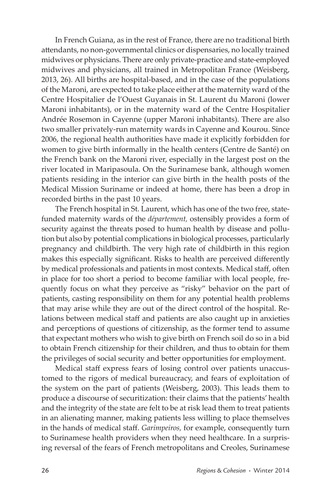In French Guiana, as in the rest of France, there are no traditional birth atendants, no non-governmental clinics or dispensaries, no locally trained midwives or physicians. There are only private-practice and state-employed midwives and physicians, all trained in Metropolitan France (Weisberg, 2013, 26). All births are hospital-based, and in the case of the populations of the Maroni, are expected to take place either at the maternity ward of the Centre Hospitalier de l'Ouest Guyanais in St. Laurent du Maroni (lower Maroni inhabitants), or in the maternity ward of the Centre Hospitalier Andrée Rosemon in Cayenne (upper Maroni inhabitants). There are also two smaller privately-run maternity wards in Cayenne and Kourou. Since 2006, the regional health authorities have made it explicitly forbidden for women to give birth informally in the health centers (Centre de Santé) on the French bank on the Maroni river, especially in the largest post on the river located in Maripasoula. On the Surinamese bank, although women patients residing in the interior can give birth in the health posts of the Medical Mission Suriname or indeed at home, there has been a drop in recorded births in the past 10 years.

The French hospital in St. Laurent, which has one of the two free, statefunded maternity wards of the *département,* ostensibly provides a form of security against the threats posed to human health by disease and pollution but also by potential complications in biological processes, particularly pregnancy and childbirth. The very high rate of childbirth in this region makes this especially signifcant. Risks to health are perceived diferently by medical professionals and patients in most contexts. Medical staff, often in place for too short a period to become familiar with local people, frequently focus on what they perceive as "risky" behavior on the part of patients, casting responsibility on them for any potential health problems that may arise while they are out of the direct control of the hospital. Relations between medical staff and patients are also caught up in anxieties and perceptions of questions of citizenship, as the former tend to assume that expectant mothers who wish to give birth on French soil do so in a bid to obtain French citizenship for their children, and thus to obtain for them the privileges of social security and beter opportunities for employment.

Medical staff express fears of losing control over patients unaccustomed to the rigors of medical bureaucracy, and fears of exploitation of the system on the part of patients (Weisberg, 2003). This leads them to produce a discourse of securitization: their claims that the patients' health and the integrity of the state are felt to be at risk lead them to treat patients in an alienating manner, making patients less willing to place themselves in the hands of medical staf. *Garimpeiros,* for example, consequently turn to Surinamese health providers when they need healthcare. In a surprising reversal of the fears of French metropolitans and Creoles, Surinamese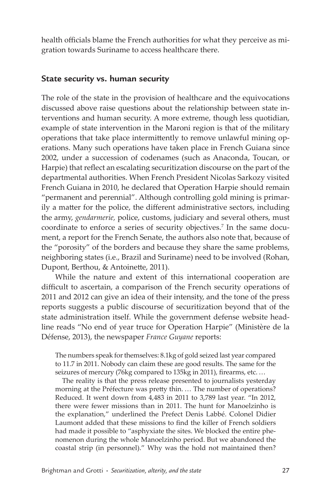health officials blame the French authorities for what they perceive as migration towards Suriname to access healthcare there.

## **State security vs. human security**

The role of the state in the provision of healthcare and the equivocations discussed above raise questions about the relationship between state interventions and human security. A more extreme, though less quotidian, example of state intervention in the Maroni region is that of the military operations that take place intermitently to remove unlawful mining operations. Many such operations have taken place in French Guiana since 2002, under a succession of codenames (such as Anaconda, Toucan, or Harpie) that reflect an escalating securitization discourse on the part of the departmental authorities. When French President Nicolas Sarkozy visited French Guiana in 2010, he declared that Operation Harpie should remain "permanent and perennial". Although controlling gold mining is primarily a mater for the police, the diferent administrative sectors, including the army, *gendarmerie,* police, customs, judiciary and several others, must coordinate to enforce a series of security objectives.<sup>7</sup> In the same document, a report for the French Senate, the authors also note that, because of the "porosity" of the borders and because they share the same problems, neighboring states (i.e., Brazil and Suriname) need to be involved (Rohan, Dupont, Berthou, & Antoinete, 2011).

While the nature and extent of this international cooperation are difficult to ascertain, a comparison of the French security operations of 2011 and 2012 can give an idea of their intensity, and the tone of the press reports suggests a public discourse of securitization beyond that of the state administration itself. While the government defense website headline reads "No end of year truce for Operation Harpie" (Ministère de la Défense, 2013), the newspaper *France Guyane* reports:

The numbers speak for themselves: 8.1kg of gold seized last year compared to 11.7 in 2011. Nobody can claim these are good results. The same for the seizures of mercury (76kg compared to 135kg in 2011), firearms, etc. ...

 The reality is that the press release presented to journalists yesterday morning at the Préfecture was pretty thin. ... The number of operations? Reduced. It went down from 4,483 in 2011 to 3,789 last year. "In 2012, there were fewer missions than in 2011. The hunt for Manoelzinho is the explanation," underlined the Prefect Denis Labbé. Colonel Didier Laumont added that these missions to fnd the killer of French soldiers had made it possible to "asphyxiate the sites. We blocked the entire phenomenon during the whole Manoelzinho period. But we abandoned the coastal strip (in personnel)." Why was the hold not maintained then?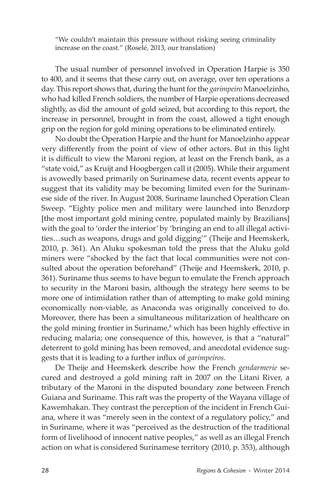"We couldn't maintain this pressure without risking seeing criminality increase on the coast." (Roselé, 2013, our translation)

The usual number of personnel involved in Operation Harpie is 350 to 400, and it seems that these carry out, on average, over ten operations a day. This report shows that, during the hunt for the *garimpeiro* Manoelzinho, who had killed French soldiers, the number of Harpie operations decreased slightly, as did the amount of gold seized, but according to this report, the increase in personnel, brought in from the coast, allowed a tight enough grip on the region for gold mining operations to be eliminated entirely.

No doubt the Operation Harpie and the hunt for Manoelzinho appear very diferently from the point of view of other actors. But in this light it is difficult to view the Maroni region, at least on the French bank, as a "state void," as Kruijt and Hoogbergen call it (2005). While their argument is avowedly based primarily on Surinamese data, recent events appear to suggest that its validity may be becoming limited even for the Surinamese side of the river. In August 2008, Suriname launched Operation Clean Sweep. "Eighty police men and military were launched into Benzdorp [the most important gold mining centre, populated mainly by Brazilians] with the goal to 'order the interior' by 'bringing an end to all illegal activities...such as weapons, drugs and gold digging" (Theije and Heemskerk, 2010, p. 361). An Aluku spokesman told the press that the Aluku gold miners were "shocked by the fact that local communities were not consulted about the operation beforehand" (Theije and Heemskerk, 2010, p. 361). Suriname thus seems to have begun to emulate the French approach to security in the Maroni basin, although the strategy here seems to be more one of intimidation rather than of atempting to make gold mining economically non-viable, as Anaconda was originally conceived to do. Moreover, there has been a simultaneous militarization of healthcare on the gold mining frontier in Suriname,<sup>8</sup> which has been highly effective in reducing malaria; one consequence of this, however, is that a "natural" deterrent to gold mining has been removed, and anecdotal evidence suggests that it is leading to a further infux of *garimpeiros.*

De Theije and Heemskerk describe how the French *gendarmerie* secured and destroyed a gold mining raft in 2007 on the Litani River, a tributary of the Maroni in the disputed boundary zone between French Guiana and Suriname. This raft was the property of the Wayana village of Kawemhakan. They contrast the perception of the incident in French Guiana, where it was "merely seen in the context of a regulatory policy," and in Suriname, where it was "perceived as the destruction of the traditional form of livelihood of innocent native peoples," as well as an illegal French action on what is considered Surinamese territory (2010, p. 353), although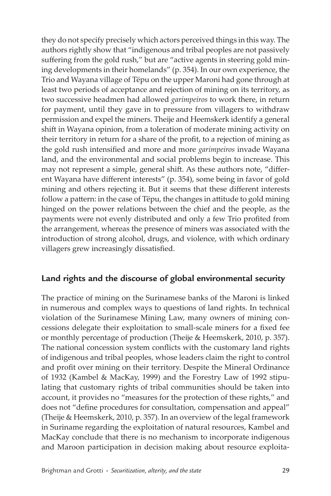they do not specify precisely which actors perceived things in this way. The authors rightly show that "indigenous and tribal peoples are not passively sufering from the gold rush," but are "active agents in steering gold mining developments in their homelands" (p. 354). In our own experience, the Trio and Wayana village of Tëpu on the upper Maroni had gone through at least two periods of acceptance and rejection of mining on its territory, as two successive headmen had allowed *garimpeiros* to work there, in return for payment, until they gave in to pressure from villagers to withdraw permission and expel the miners. Theie and Heemskerk identify a general shift in Wayana opinion, from a toleration of moderate mining activity on their territory in return for a share of the proft, to a rejection of mining as the gold rush intensifed and more and more *garimpeiros* invade Wayana land, and the environmental and social problems begin to increase. This may not represent a simple, general shift. As these authors note, "different Wayana have diferent interests" (p. 354), some being in favor of gold mining and others rejecting it. But it seems that these diferent interests follow a patern: in the case of Tëpu, the changes in atitude to gold mining hinged on the power relations between the chief and the people, as the payments were not evenly distributed and only a few Trio profted from the arrangement, whereas the presence of miners was associated with the introduction of strong alcohol, drugs, and violence, with which ordinary villagers grew increasingly dissatisfed.

# **Land rights and the discourse of global environmental security**

The practice of mining on the Surinamese banks of the Maroni is linked in numerous and complex ways to questions of land rights. In technical violation of the Surinamese Mining Law, many owners of mining concessions delegate their exploitation to small-scale miners for a fxed fee or monthly percentage of production (Theie & Heemskerk, 2010, p. 357). The national concession system conficts with the customary land rights of indigenous and tribal peoples, whose leaders claim the right to control and profit over mining on their territory. Despite the Mineral Ordinance of 1932 (Kambel & MacKay, 1999) and the Forestry Law of 1992 stipulating that customary rights of tribal communities should be taken into account, it provides no "measures for the protection of these rights," and does not "defne procedures for consultation, compensation and appeal" (Theije & Heemskerk, 2010, p. 357). In an overview of the legal framework in Suriname regarding the exploitation of natural resources, Kambel and MacKay conclude that there is no mechanism to incorporate indigenous and Maroon participation in decision making about resource exploita-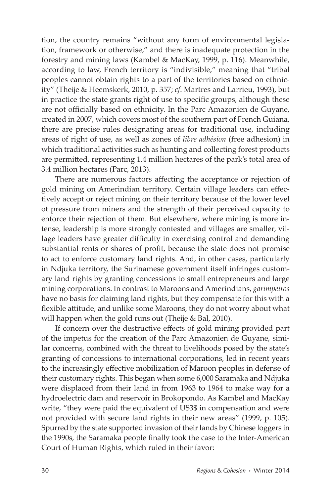tion, the country remains "without any form of environmental legislation, framework or otherwise," and there is inadequate protection in the forestry and mining laws (Kambel & MacKay, 1999, p. 116). Meanwhile, according to law, French territory is "indivisible," meaning that "tribal peoples cannot obtain rights to a part of the territories based on ethnicity" (Theie & Heemskerk, 2010, p. 357; *cf*. Martres and Larrieu, 1993), but in practice the state grants right of use to specific groups, although these are not officially based on ethnicity. In the Parc Amazonien de Guyane, created in 2007, which covers most of the southern part of French Guiana, there are precise rules designating areas for traditional use, including areas of right of use, as well as zones of *libre adhésion* (free adhesion) in which traditional activities such as hunting and collecting forest products are permited, representing 1.4 million hectares of the park's total area of 3.4 million hectares (Parc, 2013).

There are numerous factors affecting the acceptance or rejection of gold mining on Amerindian territory. Certain village leaders can efectively accept or reject mining on their territory because of the lower level of pressure from miners and the strength of their perceived capacity to enforce their rejection of them. But elsewhere, where mining is more intense, leadership is more strongly contested and villages are smaller, village leaders have greater difficulty in exercising control and demanding substantial rents or shares of proft, because the state does not promise to act to enforce customary land rights. And, in other cases, particularly in Ndjuka territory, the Surinamese government itself infringes customary land rights by granting concessions to small entrepreneurs and large mining corporations. In contrast to Maroons and Amerindians, *garimpeiros* have no basis for claiming land rights, but they compensate for this with a fexible atitude, and unlike some Maroons, they do not worry about what will happen when the gold runs out (Theije & Bal, 2010).

If concern over the destructive efects of gold mining provided part of the impetus for the creation of the Parc Amazonien de Guyane, similar concerns, combined with the threat to livelihoods posed by the state's granting of concessions to international corporations, led in recent years to the increasingly efective mobilization of Maroon peoples in defense of their customary rights. This began when some 6,000 Saramaka and Ndjuka were displaced from their land in from 1963 to 1964 to make way for a hydroelectric dam and reservoir in Brokopondo. As Kambel and MacKay write, "they were paid the equivalent of US3\$ in compensation and were not provided with secure land rights in their new areas" (1999, p. 105). Spurred by the state supported invasion of their lands by Chinese loggers in the 1990s, the Saramaka people fnally took the case to the Inter-American Court of Human Rights, which ruled in their favor: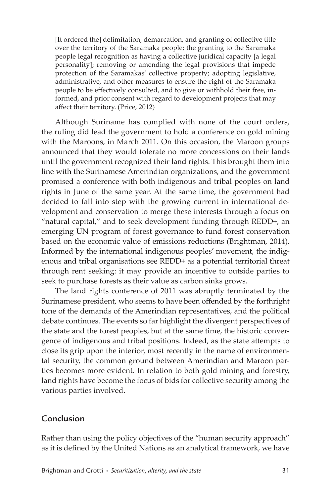[It ordered the] delimitation, demarcation, and granting of collective title over the territory of the Saramaka people; the granting to the Saramaka people legal recognition as having a collective juridical capacity [a legal personality]; removing or amending the legal provisions that impede protection of the Saramakas' collective property; adopting legislative, administrative, and other measures to ensure the right of the Saramaka people to be efectively consulted, and to give or withhold their free, informed, and prior consent with regard to development projects that may afect their territory. (Price, 2012)

Although Suriname has complied with none of the court orders, the ruling did lead the government to hold a conference on gold mining with the Maroons, in March 2011. On this occasion, the Maroon groups announced that they would tolerate no more concessions on their lands until the government recognized their land rights. This brought them into line with the Surinamese Amerindian organizations, and the government promised a conference with both indigenous and tribal peoples on land rights in June of the same year. At the same time, the government had decided to fall into step with the growing current in international development and conservation to merge these interests through a focus on "natural capital," and to seek development funding through REDD+, an emerging UN program of forest governance to fund forest conservation based on the economic value of emissions reductions (Brightman, 2014). Informed by the international indigenous peoples' movement, the indigenous and tribal organisations see REDD+ as a potential territorial threat through rent seeking: it may provide an incentive to outside parties to seek to purchase forests as their value as carbon sinks grows.

The land rights conference of 2011 was abruptly terminated by the Surinamese president, who seems to have been ofended by the forthright tone of the demands of the Amerindian representatives, and the political debate continues. The events so far highlight the divergent perspectives of the state and the forest peoples, but at the same time, the historic convergence of indigenous and tribal positions. Indeed, as the state atempts to close its grip upon the interior, most recently in the name of environmental security, the common ground between Amerindian and Maroon parties becomes more evident. In relation to both gold mining and forestry, land rights have become the focus of bids for collective security among the various parties involved.

# **Conclusion**

Rather than using the policy objectives of the "human security approach" as it is defned by the United Nations as an analytical framework, we have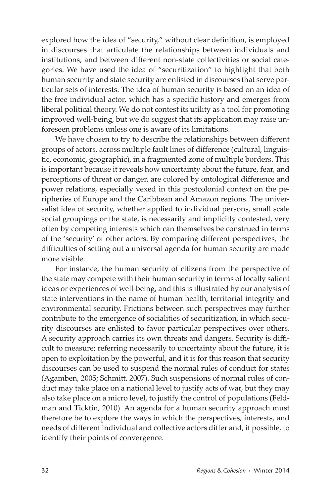explored how the idea of "security," without clear definition, is employed in discourses that articulate the relationships between individuals and institutions, and between diferent non-state collectivities or social categories. We have used the idea of "securitization" to highlight that both human security and state security are enlisted in discourses that serve particular sets of interests. The idea of human security is based on an idea of the free individual actor, which has a specifc history and emerges from liberal political theory. We do not contest its utility as a tool for promoting improved well-being, but we do suggest that its application may raise unforeseen problems unless one is aware of its limitations.

We have chosen to try to describe the relationships between diferent groups of actors, across multiple fault lines of diference (cultural, linguistic, economic, geographic), in a fragmented zone of multiple borders. This is important because it reveals how uncertainty about the future, fear, and perceptions of threat or danger, are colored by ontological diference and power relations, especially vexed in this postcolonial context on the peripheries of Europe and the Caribbean and Amazon regions. The universalist idea of security, whether applied to individual persons, small scale social groupings or the state, is necessarily and implicitly contested, very often by competing interests which can themselves be construed in terms of the 'security' of other actors. By comparing diferent perspectives, the difficulties of setting out a universal agenda for human security are made more visible.

For instance, the human security of citizens from the perspective of the state may compete with their human security in terms of locally salient ideas or experiences of well-being, and this is illustrated by our analysis of state interventions in the name of human health, territorial integrity and environmental security. Frictions between such perspectives may further contribute to the emergence of socialities of securitization, in which security discourses are enlisted to favor particular perspectives over others. A security approach carries its own threats and dangers. Security is difficult to measure; referring necessarily to uncertainty about the future, it is open to exploitation by the powerful, and it is for this reason that security discourses can be used to suspend the normal rules of conduct for states (Agamben, 2005; Schmit, 2007). Such suspensions of normal rules of conduct may take place on a national level to justify acts of war, but they may also take place on a micro level, to justify the control of populations (Feldman and Ticktin, 2010). An agenda for a human security approach must therefore be to explore the ways in which the perspectives, interests, and needs of diferent individual and collective actors difer and, if possible, to identify their points of convergence.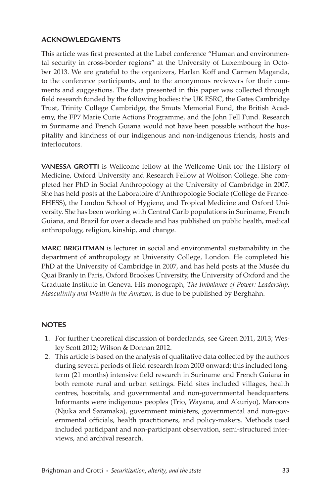#### **ACKNOWLEDGMENTS**

This article was frst presented at the Label conference "Human and environmental security in cross-border regions" at the University of Luxembourg in October 2013. We are grateful to the organizers, Harlan Koff and Carmen Maganda, to the conference participants, and to the anonymous reviewers for their comments and suggestions. The data presented in this paper was collected through feld research funded by the following bodies: the UK ESRC, the Gates Cambridge Trust, Trinity College Cambridge, the Smuts Memorial Fund, the British Academy, the FP7 Marie Curie Actions Programme, and the John Fell Fund. Research in Suriname and French Guiana would not have been possible without the hospitality and kindness of our indigenous and non-indigenous friends, hosts and interlocutors.

**VANESSA GROTTI** is Wellcome fellow at the Wellcome Unit for the History of Medicine, Oxford University and Research Fellow at Wolfson College. She completed her PhD in Social Anthropology at the University of Cambridge in 2007. She has held posts at the Laboratoire d'Anthropologie Sociale (Collège de France-EHESS), the London School of Hygiene, and Tropical Medicine and Oxford University. She has been working with Central Carib populations in Suriname, French Guiana, and Brazil for over a decade and has published on public health, medical anthropology, religion, kinship, and change.

**MARC BRIGHTMAN** is lecturer in social and environmental sustainability in the department of anthropology at University College, London. He completed his PhD at the University of Cambridge in 2007, and has held posts at the Musée du Quai Branly in Paris, Oxford Brookes University, the University of Oxford and the Graduate Institute in Geneva. His monograph, *The Imbalance of Power: Leadership, Masculinity and Wealth in the Amazon,* is due to be published by Berghahn.

#### **NOTES**

- 1. For further theoretical discussion of borderlands, see Green 2011, 2013; Wesley Scott 2012; Wilson & Donnan 2012.
- 2. This article is based on the analysis of qualitative data collected by the authors during several periods of feld research from 2003 onward; this included longterm (21 months) intensive feld research in Suriname and French Guiana in both remote rural and urban setings. Field sites included villages, health centres, hospitals, and governmental and non-governmental headquarters. Informants were indigenous peoples (Trio, Wayana, and Akuriyo), Maroons (Njuka and Saramaka), government ministers, governmental and non-governmental officials, health practitioners, and policy-makers. Methods used included participant and non-participant observation, semi-structured interviews, and archival research.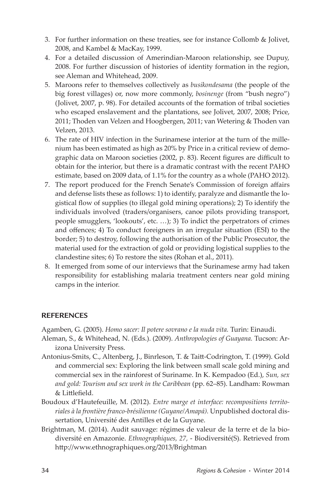- 3. For further information on these treaties, see for instance Collomb & Jolivet, 2008, and Kambel & MacKay, 1999.
- 4. For a detailed discussion of Amerindian-Maroon relationship, see Dupuy, 2008. For further discussion of histories of identity formation in the region, see Aleman and Whitehead, 2009.
- 5. Maroons refer to themselves collectively as *busikondesama* (the people of the big forest villages) or, now more commonly, *bosinenge* (from "bush negro") (Jolivet, 2007, p. 98). For detailed accounts of the formation of tribal societies who escaped enslavement and the plantations, see Jolivet, 2007, 2008; Price, 2011; Thoden van Velzen and Hoogbergen, 2011; van Wetering & Thoden van Velzen, 2013.
- 6. The rate of HIV infection in the Surinamese interior at the turn of the millenium has been estimated as high as 20% by Price in a critical review of demographic data on Maroon societies (2002, p. 83). Recent figures are difficult to obtain for the interior, but there is a dramatic contrast with the recent PAHO estimate, based on 2009 data, of 1.1% for the country as a whole (PAHO 2012).
- 7. The report produced for the French Senate's Commission of foreign afairs and defense lists these as follows: 1) to identify, paralyze and dismantle the logistical fow of supplies (to illegal gold mining operations); 2) To identify the individuals involved (traders/organisers, canoe pilots providing transport, people smugglers, 'lookouts', etc. …); 3) To indict the perpetrators of crimes and ofences; 4) To conduct foreigners in an irregular situation (ESI) to the border; 5) to destroy, following the authorisation of the Public Prosecutor, the material used for the extraction of gold or providing logistical supplies to the clandestine sites; 6) To restore the sites (Rohan et al., 2011).
- 8. It emerged from some of our interviews that the Surinamese army had taken responsibility for establishing malaria treatment centers near gold mining camps in the interior.

## **REFERENCES**

Agamben, G. (2005). *Homo sacer: Il potere sovrano e la nuda vita.* Turin: Einaudi.

- Aleman, S., & Whitehead, N. (Eds.). (2009). *Anthropologies of Guayana.* Tucson: Arizona University Press.
- Antonius-Smits, C., Altenberg, J., Binrleson, T. & Tait-Codrington, T. (1999). Gold and commercial sex: Exploring the link between small scale gold mining and commercial sex in the rainforest of Suriname. In K. Kempadoo (Ed.), *Sun, sex*  and gold: Tourism and sex work in the Caribbean (pp. 62–85). Landham: Rowman & Litlefeld.
- Boudoux d'Hautefeuille, M. (2012). *Entre marge et interface: recompositions territoriales à la frontière franco-brésilienne (Guyane/Amapá).* Unpublished doctoral dissertation, Université des Antilles et de la Guyane.
- Brightman, M. (2014). Audit sauvage: régimes de valeur de la terre et de la biodiversité en Amazonie. *Ethnographiques, 27,* - Biodiversité(S). Retrieved from htp://www.ethnographiques.org/2013/Brightman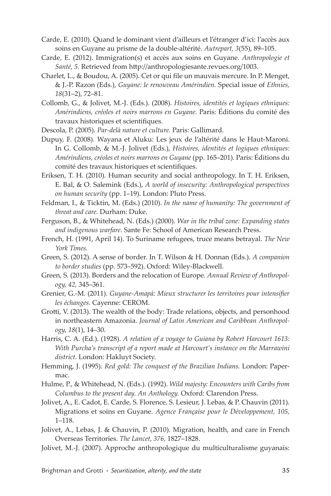- Carde, E. (2010). Quand le dominant vient d'ailleurs et l'étranger d'ici: l'accès aux soins en Guyane au prisme de la double-altérité. *Autrepart, 3*(55), 89–105.
- Carde, E. (2012). Immigration(s) et accès aux soins en Guyane. *Anthropologie et Santé, 5.* Retrieved from htp://anthropologiesante.revues.org/1003.
- Charlet, L., & Boudou, A. (2005). Cet or qui fle un mauvais mercure. In P. Menget, & J.-P. Razon (Eds.), *Guyane: le renouveau Amérindien.* Special issue of *Ethnies, 18*(31–2), 72–81.
- Collomb, G., & Jolivet, M.-J. (Eds.). (2008). *Histoires, identités et logiques ethniques: Amérindiens, créoles et noirs marrons en Guyane.* Paris: Éditions du comité des travaux historiques et scientifques.
- Descola, P. (2005). *Par-delà nature et culture.* Paris: Gallimard.
- Dupuy, F. (2008). Wayana et Aluku: Les jeux de l'altérité dans le Haut-Maroni. In G. Collomb, & M.-J. Jolivet (Eds.), *Histoires, identités et logiques ethniques: Amérindiens, créoles et noirs marrons en Guyane* (pp. 165–201)*.* Paris: Éditions du comité des travaux historiques et scientifques.
- Eriksen, T. H. (2010). Human security and social anthropology. In T. H. Eriksen, E. Bal, & O. Salemink (Eds.), *A world of insecurity: Anthropological perspectives on human security* (pp. 1–19). London: Pluto Press.
- Feldman, I., & Ticktin, M. (Eds.) (2010). *In the name of humanity: The government of threat and care.* Durham: Duke.
- Ferguson, B., & Whitehead, N. (Eds.) (2000). *War in the tribal zone: Expanding states and indigenous warfare.* Sante Fe: School of American Research Press.
- French, H. (1991, April 14). To Suriname refugees, truce means betrayal. *The New York Times.*
- Green, S. (2012). A sense of border. In T. Wilson & H. Donnan (Eds.). *A companion to border studies* (pp. 573–592). Oxford: Wiley-Blackwell.
- Green, S. (2013). Borders and the relocation of Europe. *Annual Review of Anthropology, 42,* 345–361.
- Grenier, G.-M. (2011). *Guyane-Amapá: Mieux structurer les territoires pour intensifer les échanges.* Cayenne: CEROM.
- Groti, V. (2013). The wealth of the body: Trade relations, objects, and personhood in northeastern Amazonia. *Journal of Latin American and Caribbean Anthropology, 18*(1), 14–30.
- Harris, C. A. (Ed.). (1928). *A relation of a voyage to Guiana by Robert Harcourt 1613: With Purcha's transcript of a report made at Harcourt's instance on the Marrawini district.* London: Hakluyt Society.
- Hemming, J. (1995). *Red gold: The conquest of the Brazilian Indians.* London: Papermac.
- Hulme, P., & Whitehead, N. (Eds.). (1992). *Wild majesty: Encounters with Caribs from Columbus to the present day. An Anthology.* Oxford: Clarendon Press.
- Jolivet, A., E. Cadot, E. Carde, S. Florence, S. Lesieur, J. Lebas, & P. Chauvin (2011). Migrations et soins en Guyane. *Agence Française pour le Développement, 105,* 1–118.
- Jolivet, A., Lebas, J. & Chauvin, P. (2010). Migration, health, and care in French Overseas Territories. *The Lancet, 376,* 1827–1828.
- Jolivet, M.-J. (2007). Approche anthropologique du multiculturalisme guyanais: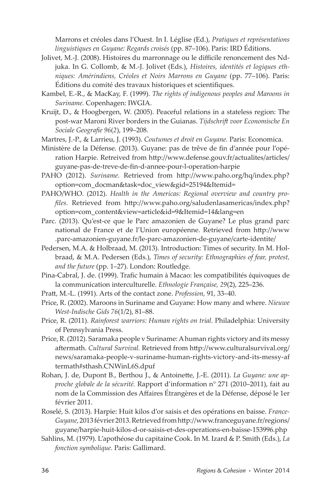Marrons et créoles dans l'Ouest. In I. Léglise (Ed.), *Pratiques et représentations linguistiques en Guyane: Regards croisés* (pp. 87–106). Paris: IRD Éditions.

- Jolivet, M.-J. (2008). Histoires du marronnage ou le difficile renoncement des Ndjuka. In G. Collomb, & M.-J. Jolivet (Eds.), *Histoires, identités et logiques ethniques: Amérindiens, Créoles et Noirs Marrons en Guyane* (pp. 77–106). Paris: Éditions du comité des travaux historiques et scientifques.
- Kambel, E.-R., & MacKay, F. (1999). *The rights of indigenous peoples and Maroons in Suriname.* Copenhagen: IWGIA.
- Kruit, D., & Hoogbergen, W. (2005). Peaceful relations in a stateless region: The post-war Maroni River borders in the Guianas. *Tidschrif voor Economische En Sociale Geografe 96*(*2*), 199–208.
- Martres, J.-P., & Larrieu, J. (1993). *Coutumes et droit en Guyane.* Paris: Economica.
- Ministère de la Défense. (2013). Guyane: pas de trêve de fin d'année pour l'opération Harpie. Retreived from htp://www.defense.gouv.fr/actualites/articles/ guyane-pas-de-treve-de-fn-d-annee-pour-l-operation-harpie
- PAHO (2012). *Suriname.* Retrieved from htp://www.paho.org/hq/index.php? option=com\_docman&task=doc\_view&gid=25194&Itemid=
- PAHO/WHO. (2012). *Health in the Americas: Regional overview and country profles.* Retrieved from htp://www.paho.org/saludenlasamericas/index.php? option=com\_content&view=article&id=9&Itemid=14&lang=en
- Parc. (2013). Qu'est-ce que le Parc amazonien de Guyane? Le plus grand parc national de France et de l'Union européenne. Retrieved from htp://www .parc-amazonien-guyane.fr/le-parc-amazonien-de-guyane/carte-identite/
- Pedersen, M.A. & Holbraad, M. (2013). Introduction: Times of security. In M. Holbraad, & M.A. Pedersen (Eds.), *Times of security: Ethnographies of fear, protest, and the future* (pp. 1–27). London: Routledge.
- Pina-Cabral, J. de. (1999). Trafc humain à Macao: les compatibilités équivoques de la communication interculturelle. *Ethnologie Française, 29*(2), 225–236.
- Prat, M.-L. (1991). Arts of the contact zone. *Profession,* 91, 33–40.
- Price, R. (2002). Maroons in Suriname and Guyane: How many and where. *Nieuwe West-Indische Gids 76*(1/2), 81–88.
- Price, R. (2011). *Rainforest warriors: Human rights on trial.* Philadelphia: University of Pennsylvania Press.
- Price, R. (2012). Saramaka people v Suriname: A human rights victory and its messy afermath. *Cultural Survival.* Retrieved from htp://www.culturalsurvival.org/ news/saramaka-people-v-suriname-human-rights-victory-and-its-messy-af termath#sthash.CNWinL6S.dpuf
- Rohan, J. de, Dupont B., Berthou J., & Antoinete, J.-E. (2011). *La Guyane: une approche globale de la sécurité.* Rapport d'information n° 271 (2010–2011), fait au nom de la Commission des Afaires Étrangères et de la Défense, déposé le 1er février 2011.
- Roselé, S. (2013). Harpie: Huit kilos d'or saisis et des opérations en baisse. *France-Guyane,* 2013 février 2013. Retrieved from htp://www.franceguyane.fr/regions/ guyane/harpie-huit-kilos-d-or-saisis-et-des-operations-en-baisse-153996.php
- Sahlins, M. (1979). L'apothéose du capitaine Cook. In M. Izard & P. Smith (Eds.), *La fonction symbolique.* Paris: Gallimard.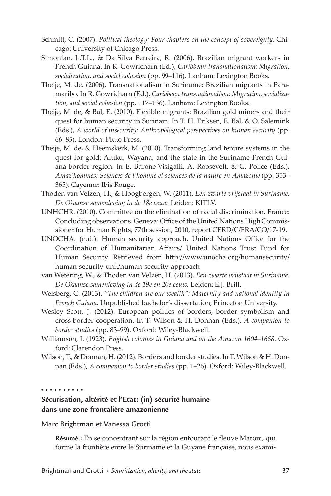- Schmit, C. (2007). *Political theology: Four chapters on the concept of sovereignty.* Chicago: University of Chicago Press.
- Simonian, L.T.L., & Da Silva Ferreira, R. (2006). Brazilian migrant workers in French Guiana. In R. Gowricharn (Ed.), *Caribbean transnationalism: Migration, socialization, and social cohesion* (pp. 99–116)*.* Lanham: Lexington Books.
- Theije, M. de. (2006). Transnationalism in Suriname: Brazilian migrants in Paramaribo. In R. Gowricharn (Ed.), *Caribbean transnationalism: Migration, socialization, and social cohesion* (pp. 117–136)*.* Lanham: Lexington Books.
- Theie, M. de, & Bal, E. (2010). Flexible migrants: Brazilian gold miners and their quest for human security in Surinam. In T. H. Eriksen, E. Bal, & O. Salemink (Eds.), *A world of insecurity: Anthropological perspectives on human security* (pp. 66–85). London: Pluto Press.
- Theije, M. de, & Heemskerk, M. (2010). Transforming land tenure systems in the quest for gold: Aluku, Wayana, and the state in the Suriname French Guiana border region. In E. Barone-Visigalli, A. Roosevelt, & G. Police (Eds.), Amaz'hommes: Sciences de l'homme et sciences de la nature en Amazonie (pp. 353– 365). Cayenne: Ibis Rouge.
- Thoden van Velzen, H., & Hoogbergen, W. (2011). *Een zwarte vristaat in Suriname. De Okaanse samenleving in de 18e eeuw.* Leiden: KITLV.
- UNHCHR. (2010). Commitee on the elimination of racial discrimination. France: Concluding observations. Geneva: Office of the United Nations High Commissioner for Human Rights, 77th session, 2010, report CERD/C/FRA/CO/17-19.
- UNOCHA. (n.d.). Human security approach. United Nations Office for the Coordination of Humanitarian Afairs/ United Nations Trust Fund for Human Security. Retrieved from htp://www.unocha.org/humansecurity/ human-security-unit/human-security-approach
- van Wetering, W., & Thoden van Velzen, H. (2013). *Een zwarte vristaat in Suriname. De Okaanse samenleving in de 19e en 20e eeuw.* Leiden: E.J. Brill.
- Weisberg, C. (2013). *"The children are our wealth": Maternity and national identity in French Guiana.* Unpublished bachelor's dissertation, Princeton University.
- Wesley Scott, J. (2012). European politics of borders, border symbolism and cross-border cooperation. In T. Wilson & H. Donnan (Eds.). *A companion to border studies* (pp. 83–99). Oxford: Wiley-Blackwell.
- Williamson, J. (1923)*. English colonies in Guiana and on the Amazon 1604–1668.* Oxford: Clarendon Press.
- Wilson, T., & Donnan, H. (2012). Borders and border studies. In T. Wilson & H. Donnan (Eds.), *A companion to border studies* (pp. 1–26). Oxford: Wiley-Blackwell.

#### . . . . . . . . . .

#### **Sécurisation, altérité et l'Etat: (in) sécurité humaine dans une zone frontalière amazonienne**

Marc Brightman et Vanessa Grotti

Résumé : En se concentrant sur la région entourant le fleuve Maroni, qui forme la frontière entre le Suriname et la Guyane française, nous exami